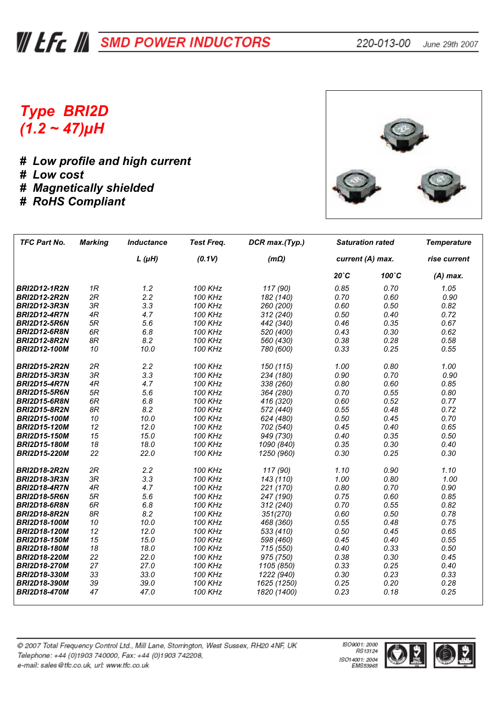## **WEE A SMD POWER INDUCTORS**

## *Type BRI2D (1.2 ~ 47)µH*

*# Low profile and high current # Low cost # Magnetically shielded # RoHS Compliant*



| <b>TFC Part No.</b> | <b>Marking</b> | <b>Inductance</b> | <b>Test Freq.</b> | DCR max.(Typ.) |                | <b>Saturation rated</b> | <b>Temperature</b> |  |  |
|---------------------|----------------|-------------------|-------------------|----------------|----------------|-------------------------|--------------------|--|--|
|                     |                | $L(\mu H)$        | (0.1V)            | $(m\Omega)$    |                | current (A) max.        | rise current       |  |  |
|                     |                |                   |                   |                | $20^{\circ}$ C | 100°C                   | $(A)$ max.         |  |  |
| <b>BRI2D12-1R2N</b> | 1R             | 1.2               | 100 KHz           | 117 (90)       | 0.85           | 0.70                    | 1.05               |  |  |
| <b>BRI2D12-2R2N</b> | 2R             | 2.2               | 100 KHz           | 182 (140)      | 0.70           | 0.60                    | 0.90               |  |  |
| <b>BRI2D12-3R3N</b> | 3R             | 3.3               | 100 KHz           | 260 (200)      | 0.60           | 0.50                    | 0.82               |  |  |
| <b>BRI2D12-4R7N</b> | 4R             | 4.7               | <b>100 KHz</b>    | 312 (240)      | 0.50           | 0.40                    | 0.72               |  |  |
| <b>BRI2D12-5R6N</b> | 5R             | 5.6               | <b>100 KHz</b>    | 442 (340)      | 0.46           | 0.35                    | 0.67               |  |  |
| <b>BRI2D12-6R8N</b> | 6R             | 6.8               | 100 KHz           | 520 (400)      | 0.43           | 0.30                    | 0.62               |  |  |
| <b>BRI2D12-8R2N</b> | 8R             | 8.2               | 100 KHz           | 560 (430)      | 0.38           | 0.28                    | 0.58               |  |  |
| <b>BRI2D12-100M</b> | 10             | 10.0              | 100 KHz           | 780 (600)      | 0.33           | 0.25                    | 0.55               |  |  |
| <b>BRI2D15-2R2N</b> | 2R             | 2.2               | 100 KHz           | 150 (115)      | 1.00           | 0.80                    | 1.00               |  |  |
| <b>BRI2D15-3R3N</b> | 3R             | 3.3               | 100 KHz           | 234 (180)      | 0.90           | 0.70                    | 0.90               |  |  |
| <b>BRI2D15-4R7N</b> | 4R             | 4.7               | <b>100 KHz</b>    | 338 (260)      | 0.80           | 0.60                    | 0.85               |  |  |
| <b>BRI2D15-5R6N</b> | 5R             | 5.6               | 100 KHz           | 364 (280)      | 0.70           | 0.55                    | 0.80               |  |  |
| <b>BRI2D15-6R8N</b> | 6R             | 6.8               | 100 KHz           | 416 (320)      | 0.60           | 0.52                    | 0.77               |  |  |
| <b>BRI2D15-8R2N</b> | 8R             | 8.2               | <b>100 KHz</b>    | 572 (440)      | 0.55           | 0.48                    | 0.72               |  |  |
| <b>BRI2D15-100M</b> | 10             | 10.0              | <b>100 KHz</b>    | 624 (480)      | 0.50           | 0.45                    | 0.70               |  |  |
| <b>BRI2D15-120M</b> | 12             | 12.0              | <b>100 KHz</b>    | 702 (540)      | 0.45           | 0.40                    | 0.65               |  |  |
| <b>BRI2D15-150M</b> | 15             | 15.0              | 100 KHz           | 949 (730)      | 0.40           | 0.35                    | 0.50               |  |  |
| <b>BRI2D15-180M</b> | 18             | 18.0              | 100 KHz           | 1090 (840)     | 0.35           | 0.30                    | 0.40               |  |  |
| <b>BRI2D15-220M</b> | 22             | 22.0              | 100 KHz           | 1250 (960)     | 0.30           | 0.25                    | 0.30               |  |  |
| <b>BRI2D18-2R2N</b> | 2R             | 2.2               | 100 KHz           | 117 (90)       | 1.10           | 0.90                    | 1.10               |  |  |
| <b>BRI2D18-3R3N</b> | 3R             | 3.3               | <b>100 KHz</b>    | 143 (110)      | 1.00           | 0.80                    | 1.00               |  |  |
| <b>BRI2D18-4R7N</b> | 4R             | 4.7               | <b>100 KHz</b>    | 221 (170)      | 0.80           | 0.70                    | 0.90               |  |  |
| <b>BRI2D18-5R6N</b> | 5R             | 5.6               | <b>100 KHz</b>    | 247 (190)      | 0.75           | 0.60                    | 0.85               |  |  |
| <b>BRI2D18-6R8N</b> | 6R             | 6.8               | 100 KHz           | 312 (240)      | 0.70           | 0.55                    | 0.82               |  |  |
| <b>BRI2D18-8R2N</b> | 8R             | 8.2               | <b>100 KHz</b>    | 351(270)       | 0.60           | 0.50                    | 0.78               |  |  |
| <b>BRI2D18-100M</b> | 10             | 10.0              | <b>100 KHz</b>    | 468 (360)      | 0.55           | 0.48                    | 0.75               |  |  |
| <b>BRI2D18-120M</b> | 12             | 12.0              | 100 KHz           | 533 (410)      | 0.50           | 0.45                    | 0.65               |  |  |
| <b>BRI2D18-150M</b> | 15             | 15.0              | 100 KHz           | 598 (460)      | 0.45           | 0.40                    | 0.55               |  |  |
| <b>BRI2D18-180M</b> | 18             | 18.0              | 100 KHz           | 715 (550)      | 0.40           | 0.33                    | 0.50               |  |  |
| <b>BRI2D18-220M</b> | 22             | 22.0              | <b>100 KHz</b>    | 975 (750)      | 0.38           | 0.30                    | 0.45               |  |  |
| <b>BRI2D18-270M</b> | 27             | 27.0              | 100 KHz           | 1105 (850)     | 0.33           | 0.25                    | 0.40               |  |  |
| <b>BRI2D18-330M</b> | 33             | 33.0              | 100 KHz           | 1222 (940)     | 0.30           | 0.23                    | 0.33               |  |  |
| <b>BRI2D18-390M</b> | 39             | 39.0              | 100 KHz           | 1625 (1250)    | 0.25           | 0.20                    | 0.28               |  |  |
| <b>BRI2D18-470M</b> | 47             | 47.0              | 100 KHz           | 1820 (1400)    | 0.23           | 0.18                    | 0.25               |  |  |